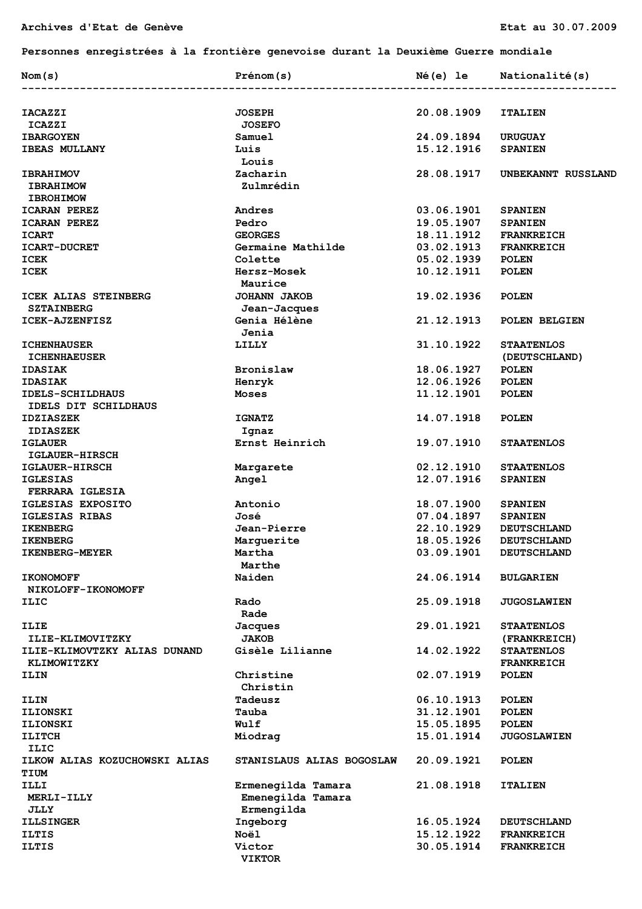## **Personnes enregistrées à la frontière genevoise durant la Deuxième Guerre mondiale**

| Nom(s)                        | Prénom(s)                 |            | Né(e) le Nationalité(s) |
|-------------------------------|---------------------------|------------|-------------------------|
| <b>IACAZZI</b>                | <b>JOSEPH</b>             | 20.08.1909 | <b>ITALIEN</b>          |
| <b>ICAZZI</b>                 | <b>JOSEFO</b>             |            |                         |
| <b>IBARGOYEN</b>              | Samuel                    | 24.09.1894 | <b>URUGUAY</b>          |
| <b>IBEAS MULLANY</b>          | Luis                      | 15.12.1916 | <b>SPANIEN</b>          |
|                               | Louis                     |            |                         |
| <b>IBRAHIMOV</b>              | Zacharin                  | 28.08.1917 | UNBEKANNT RUSSLAND      |
| <b>IBRAHIMOW</b>              | Zulmrédin                 |            |                         |
| <b>IBROHIMOW</b>              |                           |            |                         |
| <b>ICARAN PEREZ</b>           | Andres                    | 03.06.1901 | <b>SPANIEN</b>          |
| <b>ICARAN PEREZ</b>           | Pedro                     | 19.05.1907 | <b>SPANIEN</b>          |
|                               | <b>GEORGES</b>            | 18.11.1912 |                         |
| <b>ICART</b>                  |                           |            | <b>FRANKREICH</b>       |
| <b>ICART-DUCRET</b>           | Germaine Mathilde         | 03.02.1913 | <b>FRANKREICH</b>       |
| ICEK                          | Colette                   | 05.02.1939 | <b>POLEN</b>            |
| <b>ICEK</b>                   | <b>Hersz-Mosek</b>        | 10.12.1911 | <b>POLEN</b>            |
|                               | Maurice                   |            |                         |
| ICEK ALIAS STEINBERG          | <b>JOHANN JAKOB</b>       | 19.02.1936 | <b>POLEN</b>            |
| <b>SZTAINBERG</b>             | Jean-Jacques              |            |                         |
| ICEK-AJZENFISZ                | Genia Hélène              | 21.12.1913 | POLEN BELGIEN           |
|                               | Jenia                     |            |                         |
| <b>ICHENHAUSER</b>            | LILLY                     | 31.10.1922 | <b>STAATENLOS</b>       |
| <b>ICHENHAEUSER</b>           |                           |            | (DEUTSCHLAND)           |
| <b>IDASIAK</b>                | Bronislaw                 | 18.06.1927 | <b>POLEN</b>            |
| <b>IDASIAK</b>                | Henryk                    | 12.06.1926 | <b>POLEN</b>            |
| <b>IDELS-SCHILDHAUS</b>       | Moses                     | 11.12.1901 | <b>POLEN</b>            |
| IDELS DIT SCHILDHAUS          |                           |            |                         |
| <b>IDZIASZEK</b>              | <b>IGNATZ</b>             | 14.07.1918 | <b>POLEN</b>            |
| <b>IDIASZEK</b>               | Ignaz                     |            |                         |
| <b>IGLAUER</b>                | Ernst Heinrich            | 19.07.1910 | <b>STAATENLOS</b>       |
| <b>IGLAUER-HIRSCH</b>         |                           |            |                         |
| <b>IGLAUER-HIRSCH</b>         | Margarete                 | 02.12.1910 | <b>STAATENLOS</b>       |
| <b>IGLESIAS</b>               | Angel                     | 12.07.1916 | <b>SPANIEN</b>          |
| FERRARA IGLESIA               |                           |            |                         |
| IGLESIAS EXPOSITO             | Antonio                   | 18.07.1900 | <b>SPANIEN</b>          |
| IGLESIAS RIBAS                | José                      | 07.04.1897 | <b>SPANIEN</b>          |
| <b>IKENBERG</b>               | Jean-Pierre               | 22.10.1929 |                         |
|                               |                           |            | <b>DEUTSCHLAND</b>      |
| <b>IKENBERG</b>               | Marquerite                | 18.05.1926 | <b>DEUTSCHLAND</b>      |
| IKENBERG-MEYER                | Martha                    | 03.09.1901 | <b>DEUTSCHLAND</b>      |
|                               | Marthe                    |            |                         |
| <b>IKONOMOFF</b>              | Naiden                    | 24.06.1914 | <b>BULGARIEN</b>        |
| NIKOLOFF-IKONOMOFF            |                           |            |                         |
| ILIC                          | Rado                      | 25.09.1918 | <b>JUGOSLAWIEN</b>      |
|                               | Rade                      |            |                         |
| ILIE                          | <b>Jacques</b>            | 29.01.1921 | <b>STAATENLOS</b>       |
| ILIE-KLIMOVITZKY              | <b>JAKOB</b>              |            | (FRANKREICH)            |
| ILIE-KLIMOVTZKY ALIAS DUNAND  | Gisèle Lilianne           | 14.02.1922 | <b>STAATENLOS</b>       |
| KLIMOWITZKY                   |                           |            | <b>FRANKREICH</b>       |
| ILIN                          | Christine                 | 02.07.1919 | <b>POLEN</b>            |
|                               | Christin                  |            |                         |
| ILIN                          | Tadeusz                   | 06.10.1913 | <b>POLEN</b>            |
| <b>ILIONSKI</b>               | Tauba                     | 31.12.1901 | <b>POLEN</b>            |
| <b>ILIONSKI</b>               | Wulf                      | 15.05.1895 | <b>POLEN</b>            |
| <b>ILITCH</b>                 | Miodrag                   | 15.01.1914 | <b>JUGOSLAWIEN</b>      |
| ILIC                          |                           |            |                         |
| ILKOW ALIAS KOZUCHOWSKI ALIAS | STANISLAUS ALIAS BOGOSLAW | 20.09.1921 | <b>POLEN</b>            |
| <b>TIUM</b>                   |                           |            |                         |
| ILLI                          | Ermenegilda Tamara        | 21.08.1918 |                         |
|                               |                           |            | <b>ITALIEN</b>          |
| <b>MERLI-ILLY</b>             | Emenegilda Tamara         |            |                         |
| JLLY                          | Ermengilda                |            |                         |
| <b>ILLSINGER</b>              | Ingeborg                  | 16.05.1924 | <b>DEUTSCHLAND</b>      |
| <b>ILTIS</b>                  | Noël                      | 15.12.1922 | <b>FRANKREICH</b>       |
| <b>ILTIS</b>                  | Victor<br><b>VIKTOR</b>   | 30.05.1914 | <b>FRANKREICH</b>       |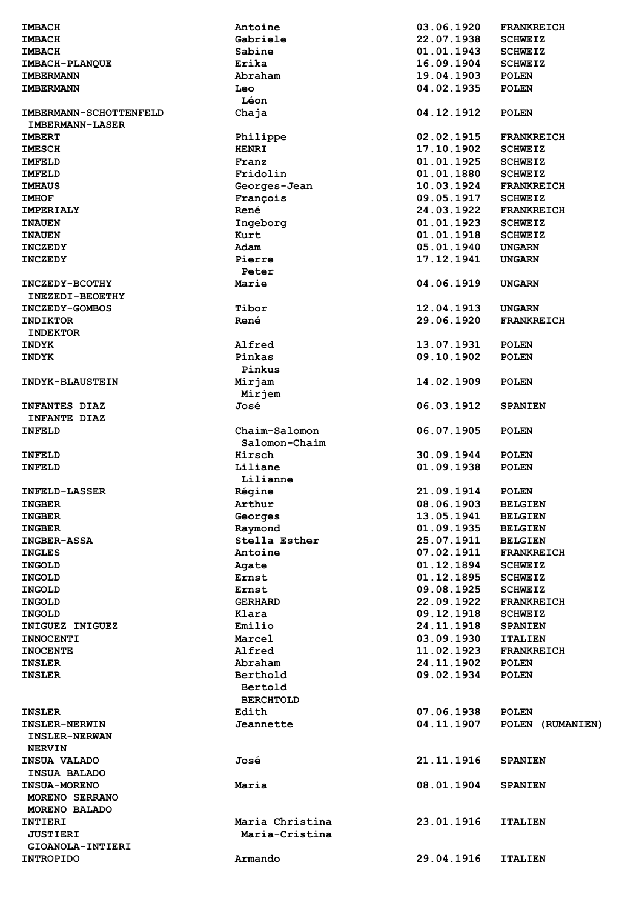| <b>IMBACH</b>                 | Antoine                     | 03.06.1920               | <b>FRANKREICH</b> |
|-------------------------------|-----------------------------|--------------------------|-------------------|
| <b>IMBACH</b>                 | Gabriele                    | 22.07.1938               | <b>SCHWEIZ</b>    |
| <b>IMBACH</b>                 | Sabine                      | 01.01.1943               | <b>SCHWEIZ</b>    |
| IMBACH-PLANQUE                | Erika                       | 16.09.1904               | <b>SCHWEIZ</b>    |
| <b>IMBERMANN</b>              | Abraham                     | 19.04.1903               | <b>POLEN</b>      |
| <b>IMBERMANN</b>              | Leo                         | 04.02.1935               | <b>POLEN</b>      |
|                               | Léon                        |                          |                   |
| <b>IMBERMANN-SCHOTTENFELD</b> | Chaja                       | 04.12.1912               | <b>POLEN</b>      |
| <b>IMBERMANN-LASER</b>        |                             |                          |                   |
| <b>IMBERT</b>                 | Philippe                    | 02.02.1915               | <b>FRANKREICH</b> |
| <b>IMESCH</b>                 | <b>HENRI</b>                | 17.10.1902               | <b>SCHWEIZ</b>    |
| <b>IMFELD</b>                 | Franz                       | 01.01.1925               | <b>SCHWEIZ</b>    |
| <b>IMFELD</b>                 | Fridolin                    | 01.01.1880               | <b>SCHWEIZ</b>    |
| <b>IMHAUS</b>                 | Georges-Jean                | 10.03.1924               | <b>FRANKREICH</b> |
| <b>IMHOF</b>                  | François                    | 09.05.1917               | <b>SCHWEIZ</b>    |
| <b>IMPERIALY</b>              | René                        | 24.03.1922               | <b>FRANKREICH</b> |
| <b>INAUEN</b>                 | Ingeborg                    | 01.01.1923               | <b>SCHWEIZ</b>    |
| <b>INAUEN</b>                 | Kurt                        | 01.01.1918               | <b>SCHWEIZ</b>    |
| <b>INCZEDY</b>                | Adam                        | 05.01.1940               | <b>UNGARN</b>     |
| <b>INCZEDY</b>                | Pierre                      | 17.12.1941               | <b>UNGARN</b>     |
|                               | Peter                       |                          |                   |
|                               | Marie                       | 04.06.1919               | <b>UNGARN</b>     |
| <b>INCZEDY-BCOTHY</b>         |                             |                          |                   |
| <b>INEZEDI-BEOETHY</b>        | Tibor                       |                          |                   |
| INCZEDY-GOMBOS                |                             | 12.04.1913<br>29.06.1920 | <b>UNGARN</b>     |
| <b>INDIKTOR</b>               | René                        |                          | <b>FRANKREICH</b> |
| <b>INDEKTOR</b>               |                             |                          |                   |
| <b>INDYK</b>                  | Alfred                      | 13.07.1931               | <b>POLEN</b>      |
| <b>INDYK</b>                  | Pinkas                      | 09.10.1902               | <b>POLEN</b>      |
|                               | Pinkus                      |                          |                   |
| <b>INDYK-BLAUSTEIN</b>        | Mirjam                      | 14.02.1909               | <b>POLEN</b>      |
|                               | Mirjem                      |                          |                   |
| <b>INFANTES DIAZ</b>          | José                        | 06.03.1912               | <b>SPANIEN</b>    |
| <b>INFANTE DIAZ</b>           |                             |                          |                   |
| <b>INFELD</b>                 | Chaim-Salomon               | 06.07.1905               | <b>POLEN</b>      |
|                               | Salomon-Chaim               |                          |                   |
| <b>INFELD</b>                 | Hirsch                      | 30.09.1944               | <b>POLEN</b>      |
| <b>INFELD</b>                 | Liliane                     | 01.09.1938               | <b>POLEN</b>      |
|                               | Lilianne                    |                          |                   |
| <b>INFELD-LASSER</b>          | Régine                      | 21.09.1914               | <b>POLEN</b>      |
| <b>INGBER</b>                 | Arthur                      | 08.06.1903               | <b>BELGIEN</b>    |
| <b>INGBER</b>                 | Georges                     | 13.05.1941               | <b>BELGIEN</b>    |
| <b>INGBER</b>                 | Raymond                     | 01.09.1935               | <b>BELGIEN</b>    |
| <b>INGBER-ASSA</b>            | Stella Esther               | 25.07.1911               | <b>BELGIEN</b>    |
| <b>INGLES</b>                 | Antoine                     | 07.02.1911               | <b>FRANKREICH</b> |
| <b>INGOLD</b>                 | Agate                       | 01.12.1894               | <b>SCHWEIZ</b>    |
| <b>INGOLD</b>                 | Ernst                       | 01.12.1895               | <b>SCHWEIZ</b>    |
| <b>INGOLD</b>                 | Ernst                       | 09.08.1925               | <b>SCHWEIZ</b>    |
| <b>INGOLD</b>                 | <b>GERHARD</b>              | 22.09.1922               | <b>FRANKREICH</b> |
| <b>INGOLD</b>                 | Klara                       | 09.12.1918               | <b>SCHWEIZ</b>    |
| INIGUEZ INIGUEZ               | Emilio                      | 24.11.1918               | <b>SPANIEN</b>    |
| <b>INNOCENTI</b>              | Marcel                      | 03.09.1930               | <b>ITALIEN</b>    |
| <b>INOCENTE</b>               | Alfred                      | 11.02.1923               | <b>FRANKREICH</b> |
| <b>INSLER</b>                 | Abraham                     | 24.11.1902               | <b>POLEN</b>      |
| <b>INSLER</b>                 | Berthold                    | 09.02.1934               | <b>POLEN</b>      |
|                               | Bertold<br><b>BERCHTOLD</b> |                          |                   |
| <b>INSLER</b>                 | Edith                       | 07.06.1938               | <b>POLEN</b>      |
| <b>INSLER-NERWIN</b>          | Jeannette                   | 04.11.1907               | POLEN (RUMANIEN)  |
| <b>INSLER-NERWAN</b>          |                             |                          |                   |
| <b>NERVIN</b>                 |                             |                          |                   |
| <b>INSUA VALADO</b>           | José                        | 21.11.1916               | <b>SPANIEN</b>    |
|                               |                             |                          |                   |
| INSUA BALADO                  |                             |                          |                   |
| <b>INSUA-MORENO</b>           | Maria                       | 08.01.1904               | <b>SPANIEN</b>    |
| MORENO SERRANO                |                             |                          |                   |
| MORENO BALADO                 |                             |                          |                   |
| <b>INTIERI</b>                | Maria Christina             | 23.01.1916               | <b>ITALIEN</b>    |
| <b>JUSTIERI</b>               | Maria-Cristina              |                          |                   |
| GIOANOLA-INTIERI              |                             |                          |                   |
| <b>INTROPIDO</b>              | Armando                     | 29.04.1916               | <b>ITALIEN</b>    |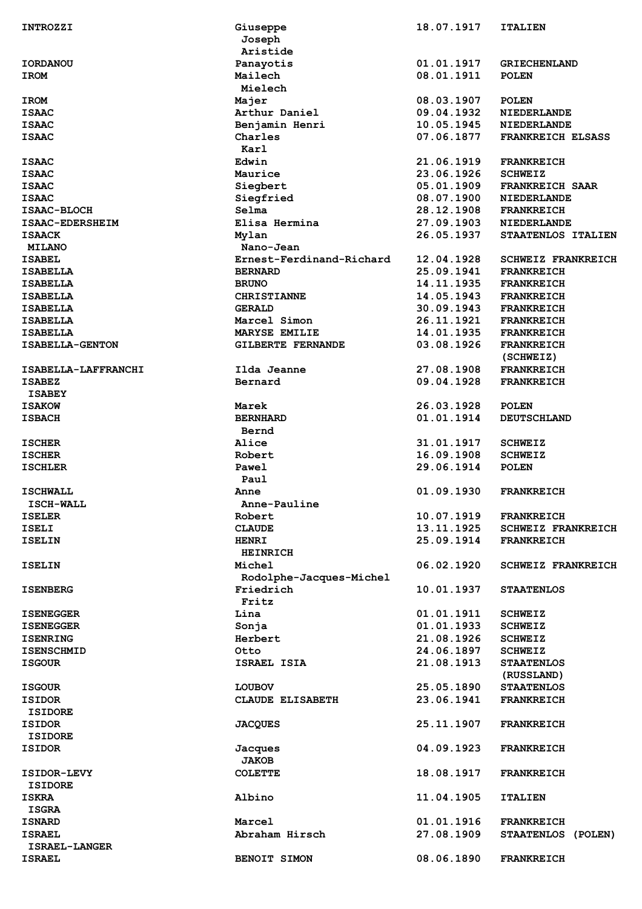| <b>INTROZZI</b>     | Giuseppe<br>Joseph<br>Aristide | 18.07.1917 | <b>ITALIEN</b>                 |
|---------------------|--------------------------------|------------|--------------------------------|
| <b>IORDANOU</b>     | Panayotis                      | 01.01.1917 | <b>GRIECHENLAND</b>            |
|                     |                                | 08.01.1911 |                                |
| <b>IROM</b>         | Mailech<br>Mielech             |            | <b>POLEN</b>                   |
| <b>IROM</b>         | Majer                          | 08.03.1907 | <b>POLEN</b>                   |
| <b>ISAAC</b>        | Arthur Daniel                  | 09.04.1932 | <b>NIEDERLANDE</b>             |
| <b>ISAAC</b>        | Benjamin Henri                 | 10.05.1945 | <b>NIEDERLANDE</b>             |
| <b>ISAAC</b>        | Charles                        | 07.06.1877 | <b>FRANKREICH ELSASS</b>       |
|                     | Karl                           |            |                                |
| <b>ISAAC</b>        | Edwin                          | 21.06.1919 | <b>FRANKREICH</b>              |
| <b>ISAAC</b>        | Maurice                        | 23.06.1926 | <b>SCHWEIZ</b>                 |
| <b>ISAAC</b>        | Siegbert                       | 05.01.1909 | <b>FRANKREICH SAAR</b>         |
| <b>ISAAC</b>        | Siegfried                      | 08.07.1900 | <b>NIEDERLANDE</b>             |
|                     |                                |            |                                |
| ISAAC-BLOCH         | Selma                          | 28.12.1908 | <b>FRANKREICH</b>              |
| ISAAC-EDERSHEIM     | Elisa Hermina                  | 27.09.1903 | <b>NIEDERLANDE</b>             |
| <b>ISAACK</b>       | Mylan                          | 26.05.1937 | STAATENLOS ITALIEN             |
| <b>MILANO</b>       | Nano-Jean                      |            |                                |
| <b>ISABEL</b>       | Ernest-Ferdinand-Richard       | 12.04.1928 | <b>SCHWEIZ FRANKREICH</b>      |
| <b>ISABELLA</b>     | <b>BERNARD</b>                 | 25.09.1941 | <b>FRANKREICH</b>              |
|                     |                                |            |                                |
| <b>ISABELLA</b>     | <b>BRUNO</b>                   | 14.11.1935 | <b>FRANKREICH</b>              |
| <b>ISABELLA</b>     | <b>CHRISTIANNE</b>             | 14.05.1943 | <b>FRANKREICH</b>              |
| <b>ISABELLA</b>     | <b>GERALD</b>                  | 30.09.1943 | <b>FRANKREICH</b>              |
| <b>ISABELLA</b>     | Marcel Simon                   | 26.11.1921 | <b>FRANKREICH</b>              |
| <b>ISABELLA</b>     | MARYSE EMILIE                  | 14.01.1935 | <b>FRANKREICH</b>              |
| ISABELLA-GENTON     |                                | 03.08.1926 |                                |
|                     | GILBERTE FERNANDE              |            | <b>FRANKREICH</b><br>(SCHWEIZ) |
| ISABELLA-LAFFRANCHI | Ilda Jeanne                    | 27.08.1908 | <b>FRANKREICH</b>              |
| <b>ISABEZ</b>       | Bernard                        | 09.04.1928 | <b>FRANKREICH</b>              |
| <b>ISABEY</b>       |                                |            |                                |
| <b>ISAKOW</b>       | Marek                          | 26.03.1928 | <b>POLEN</b>                   |
| <b>ISBACH</b>       | <b>BERNHARD</b>                | 01.01.1914 | <b>DEUTSCHLAND</b>             |
|                     |                                |            |                                |
|                     | Bernd                          |            |                                |
| <b>ISCHER</b>       | Alice                          | 31.01.1917 | <b>SCHWEIZ</b>                 |
| <b>ISCHER</b>       | Robert                         | 16.09.1908 | <b>SCHWEIZ</b>                 |
| <b>ISCHLER</b>      | Pawel                          | 29.06.1914 | <b>POLEN</b>                   |
|                     | Paul                           |            |                                |
| <b>ISCHWALL</b>     | Anne                           | 01.09.1930 | <b>FRANKREICH</b>              |
| ISCH-WALL           | Anne-Pauline                   |            |                                |
|                     |                                |            |                                |
| <b>ISELER</b>       | Robert                         | 10.07.1919 | <b>FRANKREICH</b>              |
| <b>ISELI</b>        | <b>CLAUDE</b>                  | 13.11.1925 | <b>SCHWEIZ FRANKREICH</b>      |
| <b>ISELIN</b>       | <b>HENRI</b>                   | 25.09.1914 | <b>FRANKREICH</b>              |
|                     | <b>HEINRICH</b>                |            |                                |
| <b>ISELIN</b>       | Michel                         | 06.02.1920 | <b>SCHWEIZ FRANKREICH</b>      |
|                     |                                |            |                                |
|                     | Rodolphe-Jacques-Michel        |            |                                |
| <b>ISENBERG</b>     | Friedrich                      | 10.01.1937 | <b>STAATENLOS</b>              |
|                     | Fritz                          |            |                                |
| <b>ISENEGGER</b>    | Lina                           | 01.01.1911 | <b>SCHWEIZ</b>                 |
| <b>ISENEGGER</b>    | Sonja                          | 01.01.1933 | <b>SCHWEIZ</b>                 |
| <b>ISENRING</b>     | Herbert                        | 21.08.1926 | <b>SCHWEIZ</b>                 |
| <b>ISENSCHMID</b>   | Otto                           | 24.06.1897 | <b>SCHWEIZ</b>                 |
|                     |                                |            |                                |
| <b>ISGOUR</b>       | ISRAEL ISIA                    | 21.08.1913 | <b>STAATENLOS</b>              |
|                     |                                |            | (RUSSLAND)                     |
| <b>ISGOUR</b>       | <b>LOUBOV</b>                  | 25.05.1890 | <b>STAATENLOS</b>              |
| <b>ISIDOR</b>       | CLAUDE ELISABETH               | 23.06.1941 | <b>FRANKREICH</b>              |
| <b>ISIDORE</b>      |                                |            |                                |
| <b>ISIDOR</b>       | <b>JACQUES</b>                 | 25.11.1907 | <b>FRANKREICH</b>              |
|                     |                                |            |                                |
| <b>ISIDORE</b>      |                                |            |                                |
| <b>ISIDOR</b>       | Jacques<br><b>JAKOB</b>        | 04.09.1923 | <b>FRANKREICH</b>              |
| <b>ISIDOR-LEVY</b>  | <b>COLETTE</b>                 | 18.08.1917 | <b>FRANKREICH</b>              |
| <b>ISIDORE</b>      |                                |            |                                |
| <b>ISKRA</b>        | Albino                         | 11.04.1905 |                                |
|                     |                                |            | <b>ITALIEN</b>                 |
| <b>ISGRA</b>        |                                |            |                                |
| <b>ISNARD</b>       | Marcel                         | 01.01.1916 | <b>FRANKREICH</b>              |
| <b>ISRAEL</b>       | Abraham Hirsch                 | 27.08.1909 | STAATENLOS (POLEN)             |
| ISRAEL-LANGER       |                                |            |                                |
| <b>ISRAEL</b>       | BENOIT SIMON                   | 08.06.1890 | <b>FRANKREICH</b>              |